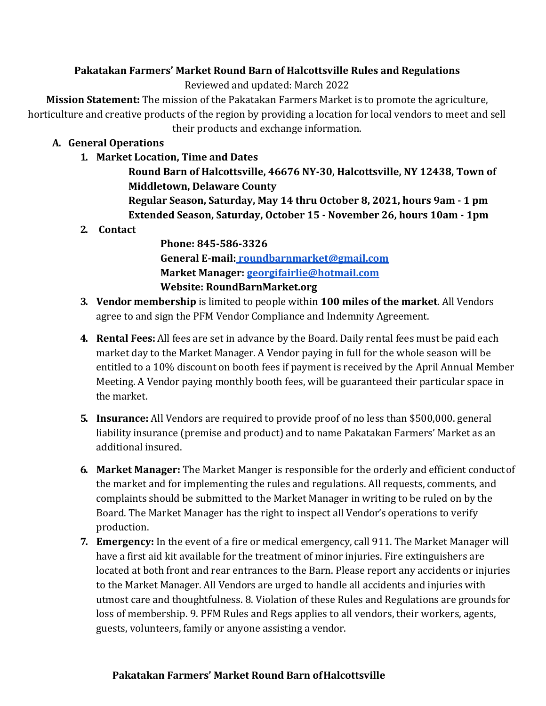# **Pakatakan Farmers' Market Round Barn of Halcottsville Rules and Regulations**

Reviewed and updated: March 2022

**Mission Statement:** The mission of the Pakatakan Farmers Market is to promote the agriculture, horticulture and creative products of the region by providing a location for local vendors to meet and sell their products and exchange information.

# **A. General Operations**

**1. Market Location, Time and Dates**

**Round Barn of Halcottsville, 46676 NY-30, Halcottsville, NY 12438, Town of Middletown, Delaware County Regular Season, Saturday, May 14 thru October 8, 2021, hours 9am - 1 pm** 

- **Extended Season, Saturday, October 15 - November 26, hours 10am - 1pm**
- **2. Contact**

**Phone: 845-586-3326 General E-mail: [roundbarnmarket@gmail.com](mailto:roundbarnmarket@gmail.com) Market Manager: [georgifairlie@hotmail.com](mailto:georgifairlie@hotmail.com) Website: RoundBarnMarket.org**

- **3. Vendor membership** is limited to people within **100 miles of the market**. All Vendors agree to and sign the PFM Vendor Compliance and Indemnity Agreement.
- **4. Rental Fees:** All fees are set in advance by the Board. Daily rental fees must be paid each market day to the Market Manager. A Vendor paying in full for the whole season will be entitled to a 10% discount on booth fees if payment is received by the April Annual Member Meeting. A Vendor paying monthly booth fees, will be guaranteed their particular space in the market.
- **5. Insurance:** All Vendors are required to provide proof of no less than \$500,000. general liability insurance (premise and product) and to name Pakatakan Farmers' Market as an additional insured.
- **6. Market Manager:** The Market Manger is responsible for the orderly and efficient conductof the market and for implementing the rules and regulations. All requests, comments, and complaints should be submitted to the Market Manager in writing to be ruled on by the Board. The Market Manager has the right to inspect all Vendor's operations to verify production.
- **7. Emergency:** In the event of a fire or medical emergency, call 911. The Market Manager will have a first aid kit available for the treatment of minor injuries. Fire extinguishers are located at both front and rear entrances to the Barn. Please report any accidents or injuries to the Market Manager. All Vendors are urged to handle all accidents and injuries with utmost care and thoughtfulness. 8. Violation of these Rules and Regulations are grounds for loss of membership. 9. PFM Rules and Regs applies to all vendors, their workers, agents, guests, volunteers, family or anyone assisting a vendor.

### **Pakatakan Farmers' Market Round Barn ofHalcottsville**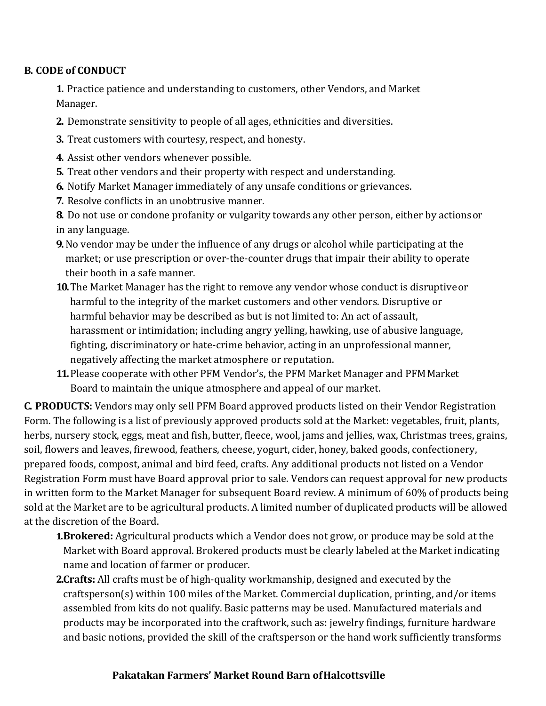# **B. CODE of CONDUCT**

**1.** Practice patience and understanding to customers, other Vendors, and Market Manager.

- **2.** Demonstrate sensitivity to people of all ages, ethnicities and diversities.
- **3.** Treat customers with courtesy, respect, and honesty.
- **4.** Assist other vendors whenever possible.
- **5.** Treat other vendors and their property with respect and understanding.
- **6.** Notify Market Manager immediately of any unsafe conditions or grievances.
- **7.** Resolve conflicts in an unobtrusive manner.
- **8.** Do not use or condone profanity or vulgarity towards any other person, either by actionsor in any language.
- **9.**No vendor may be under the influence of any drugs or alcohol while participating at the market; or use prescription or over-the-counter drugs that impair their ability to operate their booth in a safe manner.
- **10.**The Market Manager has the right to remove any vendor whose conduct is disruptiveor harmful to the integrity of the market customers and other vendors. Disruptive or harmful behavior may be described as but is not limited to: An act of assault, harassment or intimidation; including angry yelling, hawking, use of abusive language, fighting, discriminatory or hate-crime behavior, acting in an unprofessional manner, negatively affecting the market atmosphere or reputation.
- **11.**Please cooperate with other PFM Vendor's, the PFM Market Manager and PFMMarket Board to maintain the unique atmosphere and appeal of our market.

**C. PRODUCTS:** Vendors may only sell PFM Board approved products listed on their Vendor Registration Form. The following is a list of previously approved products sold at the Market: vegetables, fruit, plants, herbs, nursery stock, eggs, meat and fish, butter, fleece, wool, jams and jellies, wax, Christmas trees, grains, soil, flowers and leaves, firewood, feathers, cheese, yogurt, cider, honey, baked goods, confectionery, prepared foods, compost, animal and bird feed, crafts. Any additional products not listed on a Vendor Registration Form must have Board approval prior to sale. Vendors can request approval for new products in written form to the Market Manager for subsequent Board review. A minimum of 60% of products being sold at the Market are to be agricultural products. A limited number of duplicated products will be allowed at the discretion of the Board.

- **1.Brokered:** Agricultural products which a Vendor does not grow, or produce may be sold at the Market with Board approval. Brokered products must be clearly labeled at the Market indicating name and location of farmer or producer.
- **2.Crafts:** All crafts must be of high-quality workmanship, designed and executed by the craftsperson(s) within 100 miles of the Market. Commercial duplication, printing, and/or items assembled from kits do not qualify. Basic patterns may be used. Manufactured materials and products may be incorporated into the craftwork, such as: jewelry findings, furniture hardware and basic notions, provided the skill of the craftsperson or the hand work sufficiently transforms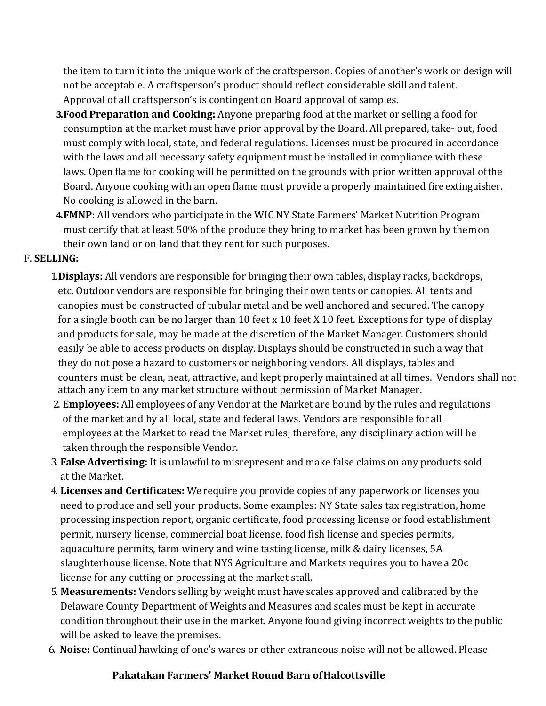the item to turn it into the unique work of the craftsperson. Copies of another's work or design will not be acceptable. A craftsperson's product should reflect considerable skill and talent. Approval of all craftsperson's is contingent on Board approval of samples.

- **3.Food Preparation and Cooking:** Anyone preparing food at the market or selling a food for consumption at the market must have prior approval by the Board. All prepared, take- out, food must comply with local, state, and federal regulations. Licenses must be procured in accordance with the laws and all necessary safety equipment must be installed in compliance with these laws. Open flame for cooking will be permitted on the grounds with prior written approval ofthe Board. Anyone cooking with an open flame must provide a properly maintained fireextinguisher. No cooking is allowed in the barn.
- **4.FMNP:** All vendors who participate in the WIC NY State Farmers' Market Nutrition Program must certify that at least 50% of the produce they bring to market has been grown by themon their own land or on land that they rent for such purposes.

### F. **SELLING:**

- 1.**Displays:** All vendors are responsible for bringing their own tables, display racks, backdrops, etc. Outdoor vendors are responsible for bringing their own tents or canopies. All tents and canopies must be constructed of tubular metal and be well anchored and secured. The canopy for a single booth can be no larger than 10 feet x 10 feet X 10 feet. Exceptions for type of display and products for sale, may be made at the discretion of the Market Manager. Customers should easily be able to access products on display. Displays should be constructed in such a way that they do not pose a hazard to customers or neighboring vendors. All displays, tables and counters must be clean, neat, attractive, and kept properly maintained at all times. Vendors shall not attach any item to any market structure without permission of Market Manager.
- 2. **Employees:** All employees of any Vendor at the Market are bound by the rules and regulations of the market and by all local, state and federal laws. Vendors are responsible for all employees at the Market to read the Market rules; therefore, any disciplinary action will be taken through the responsible Vendor.
- 3. **False Advertising:** It is unlawful to misrepresent and make false claims on any products sold at the Market.
- 4. **Licenses and Certificates:** We require you provide copies of any paperwork or licenses you need to produce and sell your products. Some examples: NY State sales tax registration, home processing inspection report, organic certificate, food processing license or food establishment permit, nursery license, commercial boat license, food fish license and species permits, aquaculture permits, farm winery and wine tasting license, milk & dairy licenses, 5A slaughterhouse license. Note that NYS Agriculture and Markets requires you to have a 20c license for any cutting or processing at the market stall.
- 5. **Measurements:** Vendors selling by weight must have scales approved and calibrated by the Delaware County Department of Weights and Measures and scales must be kept in accurate condition throughout their use in the market. Anyone found giving incorrect weights to the public will be asked to leave the premises.
- 6. **Noise:** Continual hawking of one's wares or other extraneous noise will not be allowed. Please

#### **Pakatakan Farmers' Market Round Barn ofHalcottsville**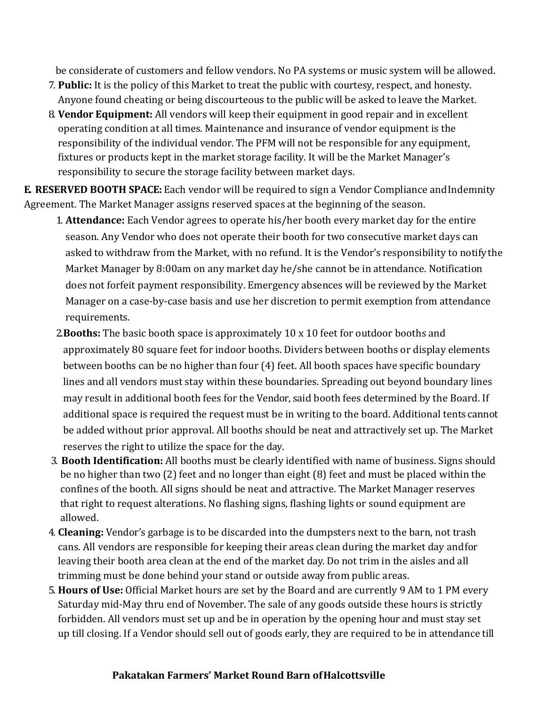be considerate of customers and fellow vendors. No PA systems or music system will be allowed.

- 7. **Public:** It is the policy of this Market to treat the public with courtesy, respect, and honesty. Anyone found cheating or being discourteous to the public will be asked to leave the Market.
- 8. **Vendor Equipment:** All vendors will keep their equipment in good repair and in excellent operating condition at all times. Maintenance and insurance of vendor equipment is the responsibility of the individual vendor. The PFM will not be responsible for any equipment, fixtures or products kept in the market storage facility. It will be the Market Manager's responsibility to secure the storage facility between market days.

**E. RESERVED BOOTH SPACE:** Each vendor will be required to sign a Vendor Compliance and Indemnity Agreement. The Market Manager assigns reserved spaces at the beginning of the season.

- 1. **Attendance:** Each Vendor agrees to operate his/her booth every market day for the entire season. Any Vendor who does not operate their booth for two consecutive market days can asked to withdraw from the Market, with no refund. It is the Vendor's responsibility to notifythe Market Manager by 8:00am on any market day he/she cannot be in attendance. Notification does not forfeit payment responsibility. Emergency absences will be reviewed by the Market Manager on a case-by-case basis and use her discretion to permit exemption from attendance requirements.
- 2.**Booths:** The basic booth space is approximately 10 x 10 feet for outdoor booths and approximately 80 square feet for indoor booths. Dividers between booths or display elements between booths can be no higher than four (4) feet. All booth spaces have specific boundary lines and all vendors must stay within these boundaries. Spreading out beyond boundary lines may result in additional booth fees for the Vendor, said booth fees determined by the Board. If additional space is required the request must be in writing to the board. Additional tents cannot be added without prior approval. All booths should be neat and attractively set up. The Market reserves the right to utilize the space for the day.
- 3. **Booth Identification:** All booths must be clearly identified with name of business. Signs should be no higher than two (2) feet and no longer than eight (8) feet and must be placed within the confines of the booth. All signs should be neat and attractive. The Market Manager reserves that right to request alterations. No flashing signs, flashing lights or sound equipment are allowed.
- 4. **Cleaning:** Vendor's garbage is to be discarded into the dumpsters next to the barn, not trash cans. All vendors are responsible for keeping their areas clean during the market day andfor leaving their booth area clean at the end of the market day. Do not trim in the aisles and all trimming must be done behind your stand or outside away from public areas.
- 5. **Hours of Use:** Official Market hours are set by the Board and are currently 9 AM to 1 PM every Saturday mid-May thru end of November. The sale of any goods outside these hours is strictly forbidden. All vendors must set up and be in operation by the opening hour and must stay set up till closing. If a Vendor should sell out of goods early, they are required to be in attendance till